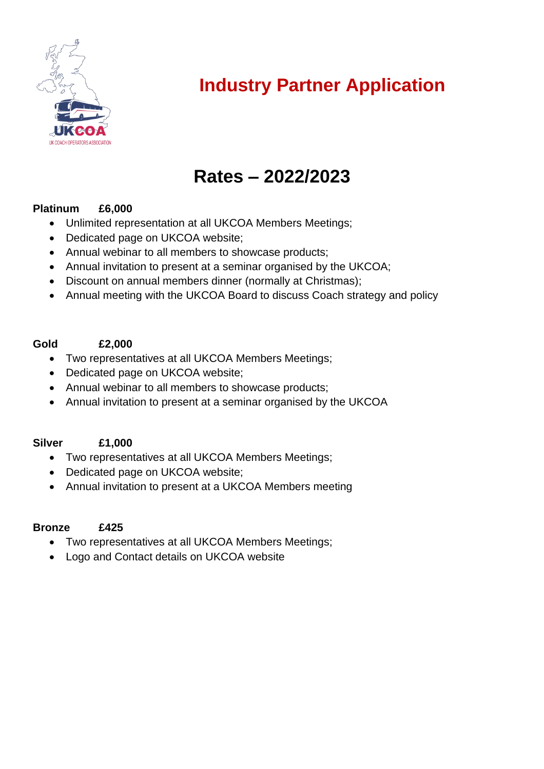

## **Industry Partner Application**

## **Rates – 2022/2023**

### **Platinum £6,000**

- Unlimited representation at all UKCOA Members Meetings;
- Dedicated page on UKCOA website;
- Annual webinar to all members to showcase products;
- Annual invitation to present at a seminar organised by the UKCOA;
- Discount on annual members dinner (normally at Christmas);
- Annual meeting with the UKCOA Board to discuss Coach strategy and policy

#### **Gold £2,000**

- Two representatives at all UKCOA Members Meetings;
- Dedicated page on UKCOA website;
- Annual webinar to all members to showcase products;
- Annual invitation to present at a seminar organised by the UKCOA

### **Silver £1,000**

- Two representatives at all UKCOA Members Meetings;
- Dedicated page on UKCOA website;
- Annual invitation to present at a UKCOA Members meeting

#### **Bronze £425**

- Two representatives at all UKCOA Members Meetings;
- Logo and Contact details on UKCOA website